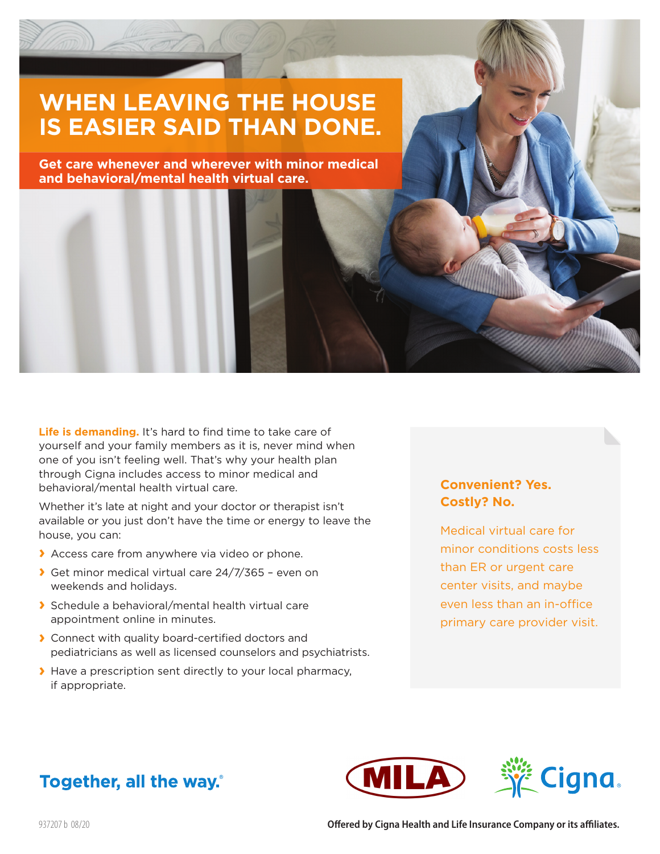# **WHEN LEAVING THE HOUSE IS EASIER SAID THAN DONE.**

**Get care whenever and wherever with minor medical and behavioral/mental health virtual care.**

Life is demanding. It's hard to find time to take care of yourself and your family members as it is, never mind when one of you isn't feeling well. That's why your health plan through Cigna includes access to minor medical and behavioral/mental health virtual care.

Whether it's late at night and your doctor or therapist isn't available or you just don't have the time or energy to leave the house, you can:

- **›** Access care from anywhere via video or phone.
- **›** Get minor medical virtual care 24/7/365 even on weekends and holidays.
- **›** Schedule a behavioral/mental health virtual care appointment online in minutes.
- **›** Connect with quality board-certified doctors and pediatricians as well as licensed counselors and psychiatrists.
- **›** Have a prescription sent directly to your local pharmacy, if appropriate.

#### **Convenient? Yes. Costly? No.**

Medical virtual care for minor conditions costs less than ER or urgent care center visits, and maybe even less than an in-office primary care provider visit.





## Together, all the way.